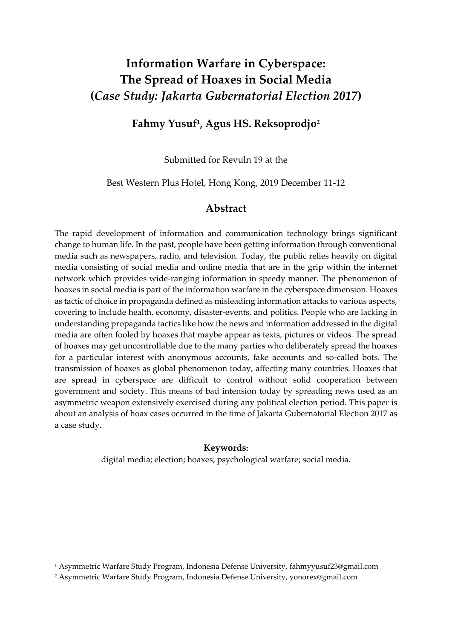# **Information Warfare in Cyberspace: The Spread of Hoaxes in Social Media (***Case Study: Jakarta Gubernatorial Election 2017***)**

# **Fahmy Yusuf<sup>1</sup> , Agus HS. Reksoprodjo<sup>2</sup>**

Submitted for Revuln 19 at the

Best Western Plus Hotel, Hong Kong, 2019 December 11-12

# **Abstract**

The rapid development of information and communication technology brings significant change to human life. In the past, people have been getting information through conventional media such as newspapers, radio, and television. Today, the public relies heavily on digital media consisting of social media and online media that are in the grip within the internet network which provides wide-ranging information in speedy manner. The phenomenon of hoaxes in social media is part of the information warfare in the cyberspace dimension. Hoaxes as tactic of choice in propaganda defined as misleading information attacks to various aspects, covering to include health, economy, disaster-events, and politics. People who are lacking in understanding propaganda tactics like how the news and information addressed in the digital media are often fooled by hoaxes that maybe appear as texts, pictures or videos. The spread of hoaxes may get uncontrollable due to the many parties who deliberately spread the hoaxes for a particular interest with anonymous accounts, fake accounts and so-called bots. The transmission of hoaxes as global phenomenon today, affecting many countries. Hoaxes that are spread in cyberspace are difficult to control without solid cooperation between government and society. This means of bad intension today by spreading news used as an asymmetric weapon extensively exercised during any political election period. This paper is about an analysis of hoax cases occurred in the time of Jakarta Gubernatorial Election 2017 as a case study.

#### **Keywords:**

digital media; election; hoaxes; psychological warfare; social media.

 $\overline{a}$ 

<sup>1</sup> Asymmetric Warfare Study Program, Indonesia Defense University, fahmyyusuf23@gmail.com

<sup>2</sup> Asymmetric Warfare Study Program, Indonesia Defense University, yonorex@gmail.com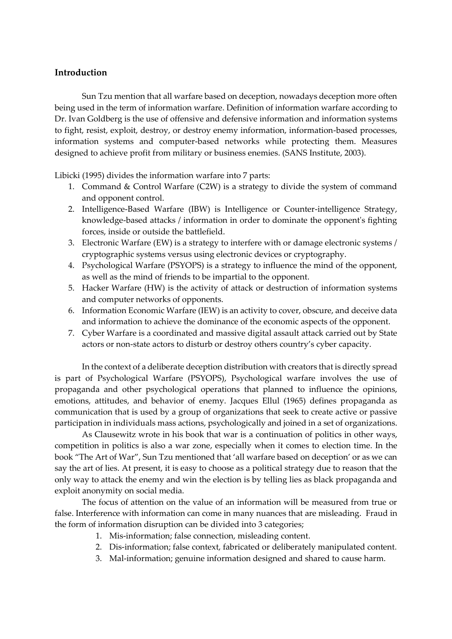## **Introduction**

Sun Tzu mention that all warfare based on deception, nowadays deception more often being used in the term of information warfare. Definition of information warfare according to Dr. Ivan Goldberg is the use of offensive and defensive information and information systems to fight, resist, exploit, destroy, or destroy enemy information, information-based processes, information systems and computer-based networks while protecting them. Measures designed to achieve profit from military or business enemies. (SANS Institute, 2003).

Libicki (1995) divides the information warfare into 7 parts:

- 1. Command & Control Warfare (C2W) is a strategy to divide the system of command and opponent control.
- 2. Intelligence-Based Warfare (IBW) is Intelligence or Counter-intelligence Strategy, knowledge-based attacks / information in order to dominate the opponent's fighting forces, inside or outside the battlefield.
- 3. Electronic Warfare (EW) is a strategy to interfere with or damage electronic systems / cryptographic systems versus using electronic devices or cryptography.
- 4. Psychological Warfare (PSYOPS) is a strategy to influence the mind of the opponent, as well as the mind of friends to be impartial to the opponent.
- 5. Hacker Warfare (HW) is the activity of attack or destruction of information systems and computer networks of opponents.
- 6. Information Economic Warfare (IEW) is an activity to cover, obscure, and deceive data and information to achieve the dominance of the economic aspects of the opponent.
- 7. Cyber Warfare is a coordinated and massive digital assault attack carried out by State actors or non-state actors to disturb or destroy others country's cyber capacity.

In the context of a deliberate deception distribution with creators that is directly spread is part of Psychological Warfare (PSYOPS), Psychological warfare involves the use of propaganda and other psychological operations that planned to influence the opinions, emotions, attitudes, and behavior of enemy. Jacques Ellul (1965) defines propaganda as communication that is used by a group of organizations that seek to create active or passive participation in individuals mass actions, psychologically and joined in a set of organizations.

As Clausewitz wrote in his book that war is a continuation of politics in other ways, competition in politics is also a war zone, especially when it comes to election time. In the book "The Art of War", Sun Tzu mentioned that 'all warfare based on deception' or as we can say the art of lies. At present, it is easy to choose as a political strategy due to reason that the only way to attack the enemy and win the election is by telling lies as black propaganda and exploit anonymity on social media.

The focus of attention on the value of an information will be measured from true or false. Interference with information can come in many nuances that are misleading. Fraud in the form of information disruption can be divided into 3 categories;

- 1. Mis-information; false connection, misleading content.
- 2. Dis-information; false context, fabricated or deliberately manipulated content.
- 3. Mal-information; genuine information designed and shared to cause harm.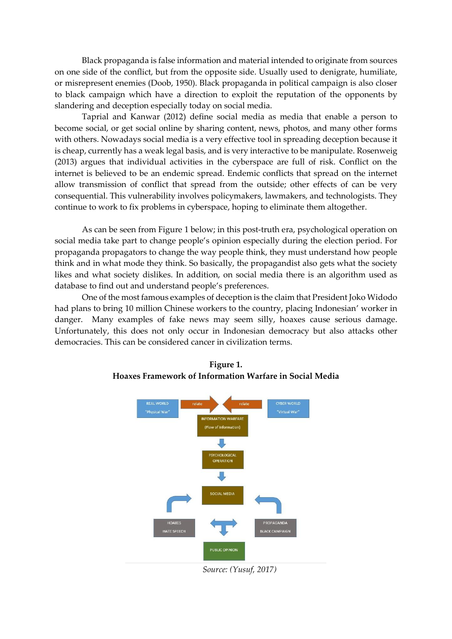Black propaganda is false information and material intended to originate from sources on one side of the conflict, but from the opposite side. Usually used to denigrate, humiliate, or misrepresent enemies (Doob, 1950). Black propaganda in political campaign is also closer to black campaign which have a direction to exploit the reputation of the opponents by slandering and deception especially today on social media.

Taprial and Kanwar (2012) define social media as media that enable a person to become social, or get social online by sharing content, news, photos, and many other forms with others. Nowadays social media is a very effective tool in spreading deception because it is cheap, currently has a weak legal basis, and is very interactive to be manipulate. Rosenweig (2013) argues that individual activities in the cyberspace are full of risk. Conflict on the internet is believed to be an endemic spread. Endemic conflicts that spread on the internet allow transmission of conflict that spread from the outside; other effects of can be very consequential. This vulnerability involves policymakers, lawmakers, and technologists. They continue to work to fix problems in cyberspace, hoping to eliminate them altogether.

As can be seen from Figure 1 below; in this post-truth era, psychological operation on social media take part to change people's opinion especially during the election period. For propaganda propagators to change the way people think, they must understand how people think and in what mode they think. So basically, the propagandist also gets what the society likes and what society dislikes. In addition, on social media there is an algorithm used as database to find out and understand people's preferences.

One of the most famous examples of deception is the claim that President Joko Widodo had plans to bring 10 million Chinese workers to the country, placing Indonesian' worker in danger. Many examples of fake news may seem silly, hoaxes cause serious damage. Unfortunately, this does not only occur in Indonesian democracy but also attacks other democracies. This can be considered cancer in civilization terms.



# **Figure 1. Hoaxes Framework of Information Warfare in Social Media**

*Source: (Yusuf, 2017)*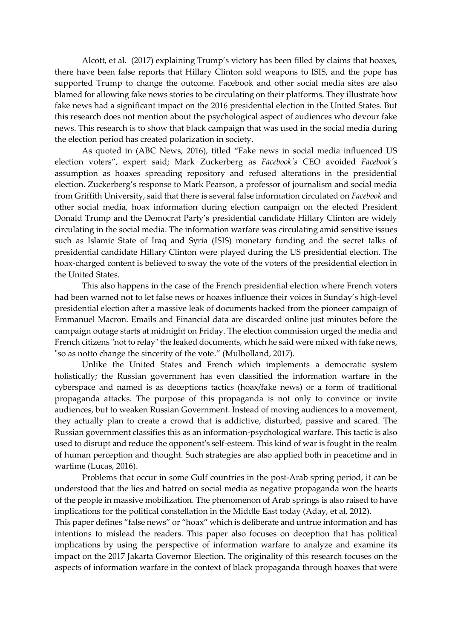Alcott, et al. (2017) explaining Trump's victory has been filled by claims that hoaxes, there have been false reports that Hillary Clinton sold weapons to ISIS, and the pope has supported Trump to change the outcome. Facebook and other social media sites are also blamed for allowing fake news stories to be circulating on their platforms. They illustrate how fake news had a significant impact on the 2016 presidential election in the United States. But this research does not mention about the psychological aspect of audiences who devour fake news. This research is to show that black campaign that was used in the social media during the election period has created polarization in society.

As quoted in (ABC News, 2016), titled "Fake news in social media influenced US election voters", expert said; Mark Zuckerberg as *Facebook's* CEO avoided *Facebook's* assumption as hoaxes spreading repository and refused alterations in the presidential election. Zuckerberg's response to Mark Pearson, a professor of journalism and social media from Griffith University, said that there is several false information circulated on *Facebook* and other social media, hoax information during election campaign on the elected President Donald Trump and the Democrat Party's presidential candidate Hillary Clinton are widely circulating in the social media. The information warfare was circulating amid sensitive issues such as Islamic State of Iraq and Syria (ISIS) monetary funding and the secret talks of presidential candidate Hillary Clinton were played during the US presidential election. The hoax-charged content is believed to sway the vote of the voters of the presidential election in the United States.

This also happens in the case of the French presidential election where French voters had been warned not to let false news or hoaxes influence their voices in Sunday's high-level presidential election after a massive leak of documents hacked from the pioneer campaign of Emmanuel Macron. Emails and Financial data are discarded online just minutes before the campaign outage starts at midnight on Friday. The election commission urged the media and French citizens "not to relay" the leaked documents, which he said were mixed with fake news, "so as notto change the sincerity of the vote." (Mulholland, 2017).

Unlike the United States and French which implements a democratic system holistically; the Russian government has even classified the information warfare in the cyberspace and named is as deceptions tactics (hoax/fake news) or a form of traditional propaganda attacks. The purpose of this propaganda is not only to convince or invite audiences, but to weaken Russian Government. Instead of moving audiences to a movement, they actually plan to create a crowd that is addictive, disturbed, passive and scared. The Russian government classifies this as an information-psychological warfare. This tactic is also used to disrupt and reduce the opponent's self-esteem. This kind of war is fought in the realm of human perception and thought. Such strategies are also applied both in peacetime and in wartime (Lucas, 2016).

Problems that occur in some Gulf countries in the post-Arab spring period, it can be understood that the lies and hatred on social media as negative propaganda won the hearts of the people in massive mobilization. The phenomenon of Arab springs is also raised to have implications for the political constellation in the Middle East today (Aday, et al, 2012).

This paper defines "false news" or "hoax" which is deliberate and untrue information and has intentions to mislead the readers. This paper also focuses on deception that has political implications by using the perspective of information warfare to analyze and examine its impact on the 2017 Jakarta Governor Election. The originality of this research focuses on the aspects of information warfare in the context of black propaganda through hoaxes that were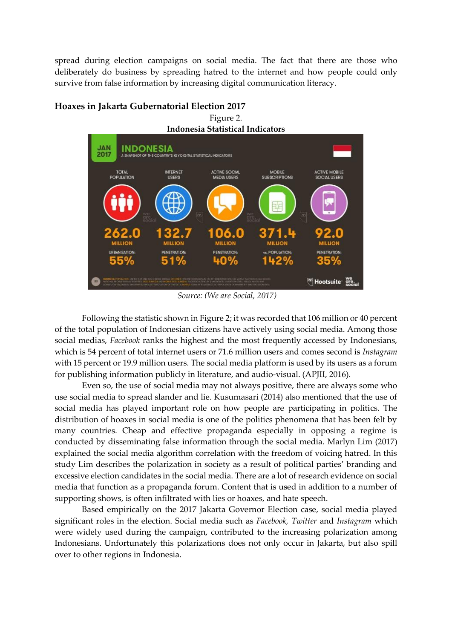spread during election campaigns on social media. The fact that there are those who deliberately do business by spreading hatred to the internet and how people could only survive from false information by increasing digital communication literacy.

Figure 2.



# **Hoaxes in Jakarta Gubernatorial Election 2017**

*Source: (We are Social, 2017)*

Following the statistic shown in Figure 2; it was recorded that 106 million or 40 percent of the total population of Indonesian citizens have actively using social media. Among those social medias, *Facebook* ranks the highest and the most frequently accessed by Indonesians, which is 54 percent of total internet users or 71.6 million users and comes second is *Instagram* with 15 percent or 19.9 million users. The social media platform is used by its users as a forum for publishing information publicly in literature, and audio-visual. (APJII, 2016).

Even so, the use of social media may not always positive, there are always some who use social media to spread slander and lie. Kusumasari (2014) also mentioned that the use of social media has played important role on how people are participating in politics. The distribution of hoaxes in social media is one of the politics phenomena that has been felt by many countries. Cheap and effective propaganda especially in opposing a regime is conducted by disseminating false information through the social media. Marlyn Lim (2017) explained the social media algorithm correlation with the freedom of voicing hatred. In this study Lim describes the polarization in society as a result of political parties' branding and excessive election candidates in the social media. There are a lot of research evidence on social media that function as a propaganda forum. Content that is used in addition to a number of supporting shows, is often infiltrated with lies or hoaxes, and hate speech.

Based empirically on the 2017 Jakarta Governor Election case, social media played significant roles in the election. Social media such as *Facebook, Twitter* and *Instagram* which were widely used during the campaign, contributed to the increasing polarization among Indonesians. Unfortunately this polarizations does not only occur in Jakarta, but also spill over to other regions in Indonesia.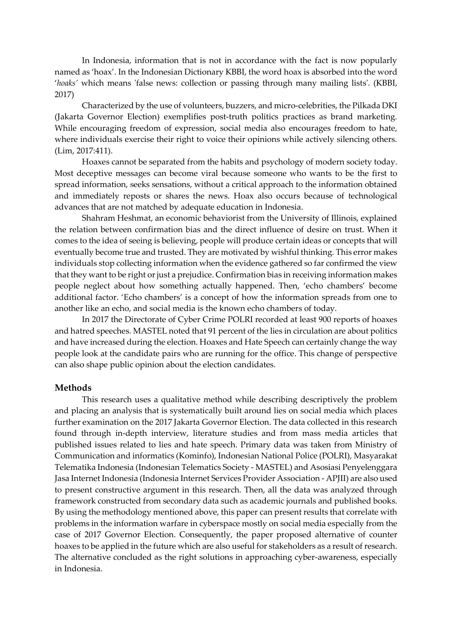In Indonesia, information that is not in accordance with the fact is now popularly named as 'hoax'. In the Indonesian Dictionary KBBI, the word hoax is absorbed into the word '*hoaks'* which means 'false news: collection or passing through many mailing lists'. (KBBI, 2017)

Characterized by the use of volunteers, buzzers, and micro-celebrities, the Pilkada DKI (Jakarta Governor Election) exemplifies post-truth politics practices as brand marketing. While encouraging freedom of expression, social media also encourages freedom to hate, where individuals exercise their right to voice their opinions while actively silencing others. (Lim, 2017:411).

Hoaxes cannot be separated from the habits and psychology of modern society today. Most deceptive messages can become viral because someone who wants to be the first to spread information, seeks sensations, without a critical approach to the information obtained and immediately reposts or shares the news. Hoax also occurs because of technological advances that are not matched by adequate education in Indonesia.

Shahram Heshmat, an economic behaviorist from the University of Illinois, explained the relation between confirmation bias and the direct influence of desire on trust. When it comes to the idea of seeing is believing, people will produce certain ideas or concepts that will eventually become true and trusted. They are motivated by wishful thinking. This error makes individuals stop collecting information when the evidence gathered so far confirmed the view that they want to be right or just a prejudice. Confirmation bias in receiving information makes people neglect about how something actually happened. Then, 'echo chambers' become additional factor. 'Echo chambers' is a concept of how the information spreads from one to another like an echo, and social media is the known echo chambers of today.

In 2017 the Directorate of Cyber Crime POLRI recorded at least 900 reports of hoaxes and hatred speeches. MASTEL noted that 91 percent of the lies in circulation are about politics and have increased during the election. Hoaxes and Hate Speech can certainly change the way people look at the candidate pairs who are running for the office. This change of perspective can also shape public opinion about the election candidates.

#### **Methods**

This research uses a qualitative method while describing descriptively the problem and placing an analysis that is systematically built around lies on social media which places further examination on the 2017 Jakarta Governor Election. The data collected in this research found through in-depth interview, literature studies and from mass media articles that published issues related to lies and hate speech. Primary data was taken from Ministry of Communication and informatics (Kominfo), Indonesian National Police (POLRI), Masyarakat Telematika Indonesia (Indonesian Telematics Society - MASTEL) and Asosiasi Penyelenggara Jasa Internet Indonesia (Indonesia Internet Services Provider Association - APJII) are also used to present constructive argument in this research. Then, all the data was analyzed through framework constructed from secondary data such as academic journals and published books. By using the methodology mentioned above, this paper can present results that correlate with problems in the information warfare in cyberspace mostly on social media especially from the case of 2017 Governor Election. Consequently, the paper proposed alternative of counter hoaxes to be applied in the future which are also useful for stakeholders as a result of research. The alternative concluded as the right solutions in approaching cyber-awareness, especially in Indonesia.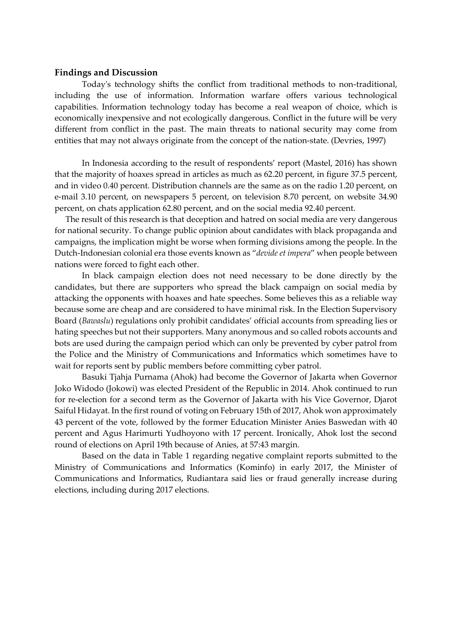#### **Findings and Discussion**

Today's technology shifts the conflict from traditional methods to non-traditional, including the use of information. Information warfare offers various technological capabilities. Information technology today has become a real weapon of choice, which is economically inexpensive and not ecologically dangerous. Conflict in the future will be very different from conflict in the past. The main threats to national security may come from entities that may not always originate from the concept of the nation-state. (Devries, 1997)

In Indonesia according to the result of respondents' report (Mastel, 2016) has shown that the majority of hoaxes spread in articles as much as 62.20 percent, in figure 37.5 percent, and in video 0.40 percent. Distribution channels are the same as on the radio 1.20 percent, on e-mail 3.10 percent, on newspapers 5 percent, on television 8.70 percent, on website 34.90 percent, on chats application 62.80 percent, and on the social media 92.40 percent.

The result of this research is that deception and hatred on social media are very dangerous for national security. To change public opinion about candidates with black propaganda and campaigns, the implication might be worse when forming divisions among the people. In the Dutch-Indonesian colonial era those events known as "*devide et impera*" when people between nations were forced to fight each other.

In black campaign election does not need necessary to be done directly by the candidates, but there are supporters who spread the black campaign on social media by attacking the opponents with hoaxes and hate speeches. Some believes this as a reliable way because some are cheap and are considered to have minimal risk. In the Election Supervisory Board (*Bawaslu*) regulations only prohibit candidates' official accounts from spreading lies or hating speeches but not their supporters. Many anonymous and so called robots accounts and bots are used during the campaign period which can only be prevented by cyber patrol from the Police and the Ministry of Communications and Informatics which sometimes have to wait for reports sent by public members before committing cyber patrol.

Basuki Tjahja Purnama (Ahok) had become the Governor of Jakarta when Governor Joko Widodo (Jokowi) was elected President of the Republic in 2014. Ahok continued to run for re-election for a second term as the Governor of Jakarta with his Vice Governor, Djarot Saiful Hidayat. In the first round of voting on February 15th of 2017, Ahok won approximately 43 percent of the vote, followed by the former Education Minister Anies Baswedan with 40 percent and Agus Harimurti Yudhoyono with 17 percent. Ironically, Ahok lost the second round of elections on April 19th because of Anies, at 57:43 margin.

Based on the data in Table 1 regarding negative complaint reports submitted to the Ministry of Communications and Informatics (Kominfo) in early 2017, the Minister of Communications and Informatics, Rudiantara said lies or fraud generally increase during elections, including during 2017 elections.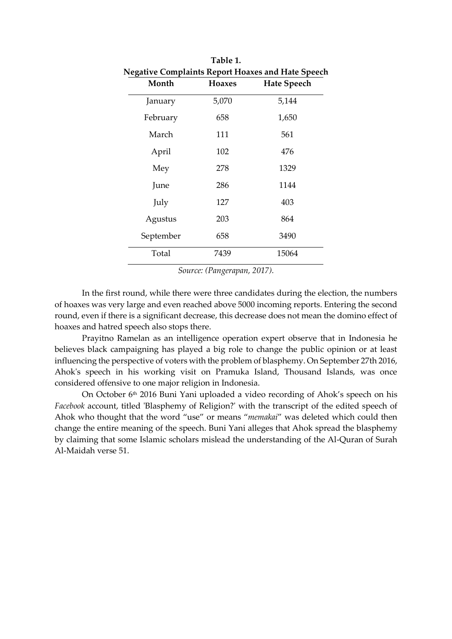| Table 1.<br><b>Negative Complaints Report Hoaxes and Hate Speech</b> |       |       |
|----------------------------------------------------------------------|-------|-------|
|                                                                      |       |       |
| January                                                              | 5,070 | 5,144 |
| February                                                             | 658   | 1,650 |
| March                                                                | 111   | 561   |
| April                                                                | 102   | 476   |
| Mey                                                                  | 278   | 1329  |
| June                                                                 | 286   | 1144  |
| July                                                                 | 127   | 403   |
| Agustus                                                              | 203   | 864   |
| September                                                            | 658   | 3490  |
| Total                                                                | 7439  | 15064 |
|                                                                      |       |       |

*Source: (Pangerapan, 2017).*

In the first round, while there were three candidates during the election, the numbers of hoaxes was very large and even reached above 5000 incoming reports. Entering the second round, even if there is a significant decrease, this decrease does not mean the domino effect of hoaxes and hatred speech also stops there.

Prayitno Ramelan as an intelligence operation expert observe that in Indonesia he believes black campaigning has played a big role to change the public opinion or at least influencing the perspective of voters with the problem of blasphemy. On September 27th 2016, Ahok's speech in his working visit on Pramuka Island, Thousand Islands, was once considered offensive to one major religion in Indonesia.

On October 6th 2016 Buni Yani uploaded a video recording of Ahok's speech on his *Facebook* account, titled 'Blasphemy of Religion?' with the transcript of the edited speech of Ahok who thought that the word "use" or means "*memakai*" was deleted which could then change the entire meaning of the speech. Buni Yani alleges that Ahok spread the blasphemy by claiming that some Islamic scholars mislead the understanding of the Al-Quran of Surah Al-Maidah verse 51.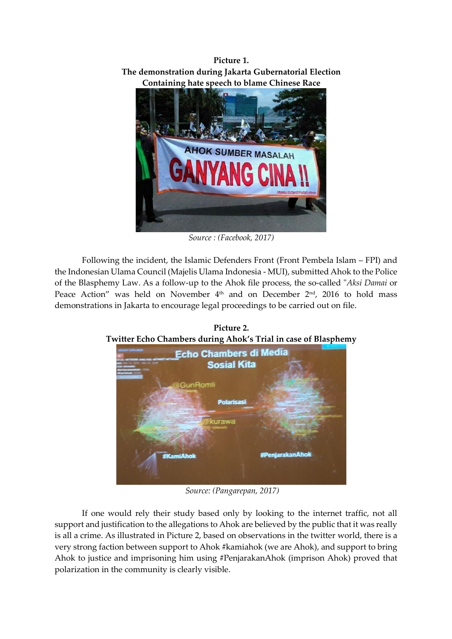**Picture 1. The demonstration during Jakarta Gubernatorial Election Containing hate speech to blame Chinese Race**



*Source : (Facebook, 2017)*

Following the incident, the Islamic Defenders Front (Front Pembela Islam – FPI) and the Indonesian Ulama Council (Majelis Ulama Indonesia - MUI), submitted Ahok to the Police of the Blasphemy Law. As a follow-up to the Ahok file process, the so-called "*Aksi Damai* or Peace Action" was held on November 4th and on December 2nd , 2016 to hold mass demonstrations in Jakarta to encourage legal proceedings to be carried out on file.

**Picture 2. Twitter Echo Chambers during Ahok's Trial in case of Blasphemy** 



*Source: (Pangarepan, 2017)*

If one would rely their study based only by looking to the internet traffic, not all support and justification to the allegations to Ahok are believed by the public that it was really is all a crime. As illustrated in Picture 2, based on observations in the twitter world, there is a very strong faction between support to Ahok #kamiahok (we are Ahok), and support to bring Ahok to justice and imprisoning him using #PenjarakanAhok (imprison Ahok) proved that polarization in the community is clearly visible.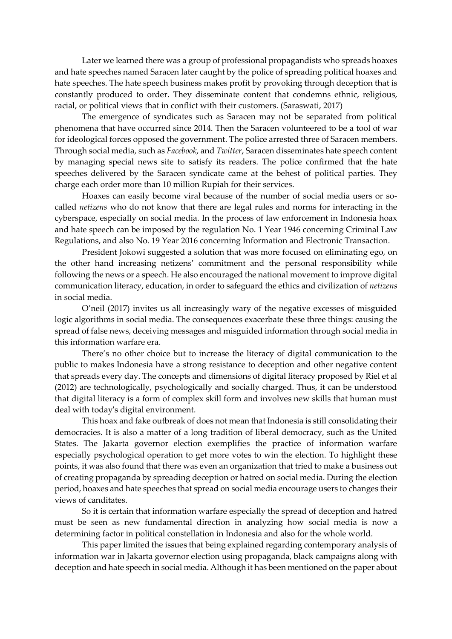Later we learned there was a group of professional propagandists who spreads hoaxes and hate speeches named Saracen later caught by the police of spreading political hoaxes and hate speeches. The hate speech business makes profit by provoking through deception that is constantly produced to order. They disseminate content that condemns ethnic, religious, racial, or political views that in conflict with their customers. (Saraswati, 2017)

The emergence of syndicates such as Saracen may not be separated from political phenomena that have occurred since 2014. Then the Saracen volunteered to be a tool of war for ideological forces opposed the government. The police arrested three of Saracen members. Through social media, such as *Facebook*, and *Twitter*, Saracen disseminates hate speech content by managing special news site to satisfy its readers. The police confirmed that the hate speeches delivered by the Saracen syndicate came at the behest of political parties. They charge each order more than 10 million Rupiah for their services.

Hoaxes can easily become viral because of the number of social media users or socalled *netizens* who do not know that there are legal rules and norms for interacting in the cyberspace, especially on social media. In the process of law enforcement in Indonesia hoax and hate speech can be imposed by the regulation No. 1 Year 1946 concerning Criminal Law Regulations, and also No. 19 Year 2016 concerning Information and Electronic Transaction.

President Jokowi suggested a solution that was more focused on eliminating ego, on the other hand increasing netizens' commitment and the personal responsibility while following the news or a speech. He also encouraged the national movement to improve digital communication literacy, education, in order to safeguard the ethics and civilization of *netizens* in social media.

O'neil (2017) invites us all increasingly wary of the negative excesses of misguided logic algorithms in social media. The consequences exacerbate these three things: causing the spread of false news, deceiving messages and misguided information through social media in this information warfare era.

There's no other choice but to increase the literacy of digital communication to the public to makes Indonesia have a strong resistance to deception and other negative content that spreads every day. The concepts and dimensions of digital literacy proposed by Riel et al (2012) are technologically, psychologically and socially charged. Thus, it can be understood that digital literacy is a form of complex skill form and involves new skills that human must deal with today's digital environment.

This hoax and fake outbreak of does not mean that Indonesia is still consolidating their democracies. It is also a matter of a long tradition of liberal democracy, such as the United States. The Jakarta governor election exemplifies the practice of information warfare especially psychological operation to get more votes to win the election. To highlight these points, it was also found that there was even an organization that tried to make a business out of creating propaganda by spreading deception or hatred on social media. During the election period, hoaxes and hate speeches that spread on social media encourage users to changes their views of canditates.

So it is certain that information warfare especially the spread of deception and hatred must be seen as new fundamental direction in analyzing how social media is now a determining factor in political constellation in Indonesia and also for the whole world.

This paper limited the issues that being explained regarding contemporary analysis of information war in Jakarta governor election using propaganda, black campaigns along with deception and hate speech in social media. Although it has been mentioned on the paper about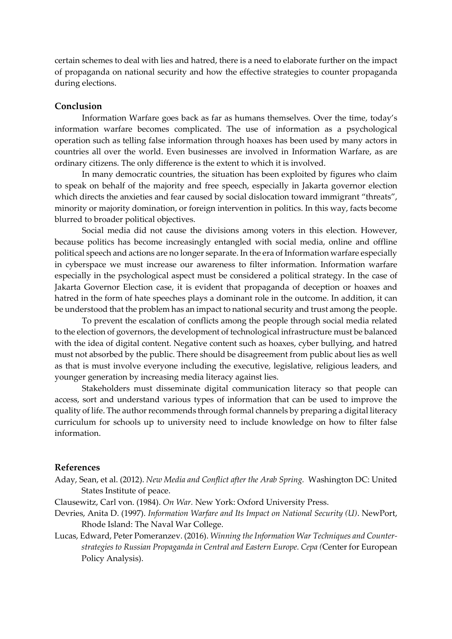certain schemes to deal with lies and hatred, there is a need to elaborate further on the impact of propaganda on national security and how the effective strategies to counter propaganda during elections.

#### **Conclusion**

Information Warfare goes back as far as humans themselves. Over the time, today's information warfare becomes complicated. The use of information as a psychological operation such as telling false information through hoaxes has been used by many actors in countries all over the world. Even businesses are involved in Information Warfare, as are ordinary citizens. The only difference is the extent to which it is involved.

In many democratic countries, the situation has been exploited by figures who claim to speak on behalf of the majority and free speech, especially in Jakarta governor election which directs the anxieties and fear caused by social dislocation toward immigrant "threats", minority or majority domination, or foreign intervention in politics. In this way, facts become blurred to broader political objectives.

Social media did not cause the divisions among voters in this election. However, because politics has become increasingly entangled with social media, online and offline political speech and actions are no longer separate. In the era of Information warfare especially in cyberspace we must increase our awareness to filter information. Information warfare especially in the psychological aspect must be considered a political strategy. In the case of Jakarta Governor Election case, it is evident that propaganda of deception or hoaxes and hatred in the form of hate speeches plays a dominant role in the outcome. In addition, it can be understood that the problem has an impact to national security and trust among the people.

To prevent the escalation of conflicts among the people through social media related to the election of governors, the development of technological infrastructure must be balanced with the idea of digital content. Negative content such as hoaxes, cyber bullying, and hatred must not absorbed by the public. There should be disagreement from public about lies as well as that is must involve everyone including the executive, legislative, religious leaders, and younger generation by increasing media literacy against lies.

Stakeholders must disseminate digital communication literacy so that people can access, sort and understand various types of information that can be used to improve the quality of life. The author recommends through formal channels by preparing a digital literacy curriculum for schools up to university need to include knowledge on how to filter false information.

### **References**

- Aday, Sean, et al. (2012). *New Media and Conflict after the Arab Spring.* Washington DC: United States Institute of peace.
- Clausewitz, Carl von. (1984). *On War.* New York: Oxford University Press.
- Devries, Anita D. (1997). *Information Warfare and Its Impact on National Security (U)*. NewPort, Rhode Island: The Naval War College.
- Lucas, Edward, Peter Pomeranzev. (2016). *Winning the Information War Techniques and Counterstrategies to Russian Propaganda in Central and Eastern Europe. Cepa (*Center for European Policy Analysis).